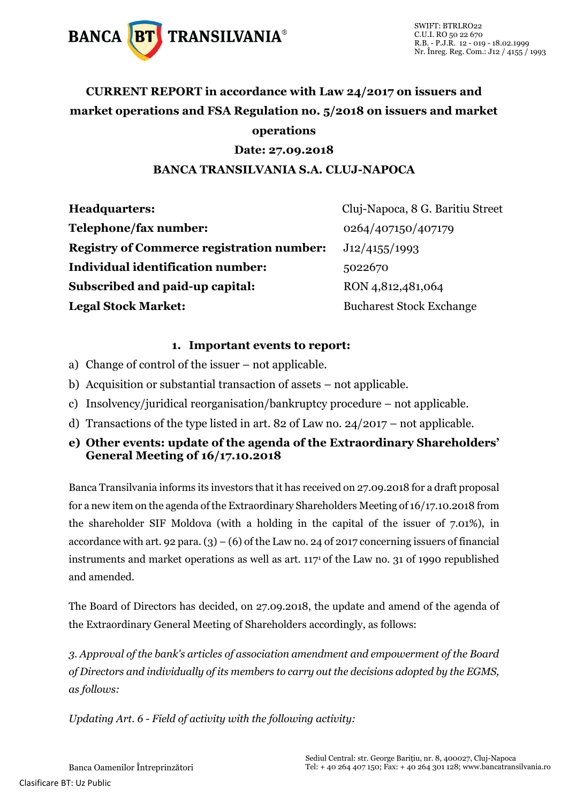

### **CURRENT REPORT in accordance with Law 24/2017 on issuers and market operations and FSA Regulation no. 5/2018 on issuers and market operations**

#### **Date: 27.09.2018**

#### **BANCA TRANSILVANIA S.A. CLUJ-NAPOCA**

| <b>Headquarters:</b>                             | Cluj-Napoca, 8 G. Baritiu Street |
|--------------------------------------------------|----------------------------------|
| Telephone/fax number:                            | 0264/407150/407179               |
| <b>Registry of Commerce registration number:</b> | J12/4155/1993                    |
| <b>Individual identification number:</b>         | 5022670                          |
| Subscribed and paid-up capital:                  | RON 4,812,481,064                |
| <b>Legal Stock Market:</b>                       | <b>Bucharest Stock Exchange</b>  |

#### **1. Important events to report:**

- a) Change of control of the issuer not applicable.
- b) Acquisition or substantial transaction of assets not applicable.
- c) Insolvency/juridical reorganisation/bankruptcy procedure not applicable.
- d) Transactions of the type listed in art. 82 of Law no. 24/2017 not applicable.
- **e) Other events: update of the agenda of the Extraordinary Shareholders' General Meeting of 16/17.10.2018**

Banca Transilvania informs its investors that it has received on 27.09.2018 for a draft proposal for a new item on the agenda of the Extraordinary Shareholders Meeting of 16/17.10.2018 from the shareholder SIF Moldova (with a holding in the capital of the issuer of 7.01%), in accordance with art. 92 para.  $(3) - (6)$  of the Law no. 24 of 2017 concerning issuers of financial instruments and market operations as well as art. 1171 of the Law no. 31 of 1990 republished and amended.

The Board of Directors has decided, on 27.09.2018, the update and amend of the agenda of the Extraordinary General Meeting of Shareholders accordingly, as follows:

*3. Approval of the bank's articles of association amendment and empowerment of the Board of Directors and individually of its members to carry out the decisions adopted by the EGMS, as follows:*

*Updating Art. 6 - Field of activity with the following activity:*